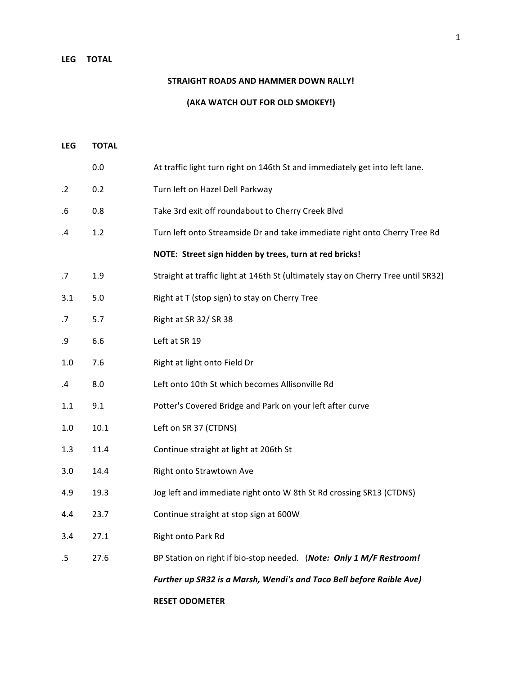## LEG **TOTAL**

## **STRAIGHT ROADS AND HAMMER DOWN RALLY!**

**(AKA WATCH OUT FOR OLD SMOKEY!)**

| LEG     | <b>TOTAL</b> |                                                                                   |
|---------|--------------|-----------------------------------------------------------------------------------|
|         | 0.0          | At traffic light turn right on 146th St and immediately get into left lane.       |
| $\cdot$ | 0.2          | Turn left on Hazel Dell Parkway                                                   |
| .6      | 0.8          | Take 3rd exit off roundabout to Cherry Creek Blvd                                 |
| .4      | 1.2          | Turn left onto Streamside Dr and take immediate right onto Cherry Tree Rd         |
|         |              | NOTE: Street sign hidden by trees, turn at red bricks!                            |
| .7      | 1.9          | Straight at traffic light at 146th St (ultimately stay on Cherry Tree until SR32) |
| 3.1     | 5.0          | Right at T (stop sign) to stay on Cherry Tree                                     |
| .7      | 5.7          | Right at SR 32/SR 38                                                              |
| .9      | 6.6          | Left at SR 19                                                                     |
| 1.0     | 7.6          | Right at light onto Field Dr                                                      |
| .4      | 8.0          | Left onto 10th St which becomes Allisonville Rd                                   |
| 1.1     | 9.1          | Potter's Covered Bridge and Park on your left after curve                         |
| 1.0     | 10.1         | Left on SR 37 (CTDNS)                                                             |
| 1.3     | 11.4         | Continue straight at light at 206th St                                            |
| 3.0     | 14.4         | Right onto Strawtown Ave                                                          |
| 4.9     | 19.3         | Jog left and immediate right onto W 8th St Rd crossing SR13 (CTDNS)               |
| 4.4     | 23.7         | Continue straight at stop sign at 600W                                            |
| 3.4     | 27.1         | Right onto Park Rd                                                                |
| .5      | 27.6         | BP Station on right if bio-stop needed. (Note: Only 1 M/F Restroom!               |
|         |              | Further up SR32 is a Marsh, Wendi's and Taco Bell before Raible Ave)              |
|         |              | <b>RESET ODOMETER</b>                                                             |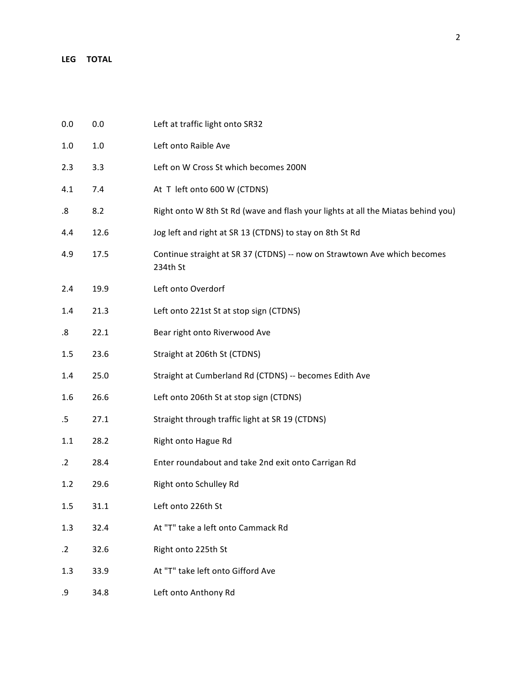| 0.0       | 0.0     | Left at traffic light onto SR32                                                      |
|-----------|---------|--------------------------------------------------------------------------------------|
| 1.0       | $1.0\,$ | Left onto Raible Ave                                                                 |
| 2.3       | 3.3     | Left on W Cross St which becomes 200N                                                |
| 4.1       | 7.4     | At T left onto 600 W (CTDNS)                                                         |
| 8.        | 8.2     | Right onto W 8th St Rd (wave and flash your lights at all the Miatas behind you)     |
| 4.4       | 12.6    | Jog left and right at SR 13 (CTDNS) to stay on 8th St Rd                             |
| 4.9       | 17.5    | Continue straight at SR 37 (CTDNS) -- now on Strawtown Ave which becomes<br>234th St |
| 2.4       | 19.9    | Left onto Overdorf                                                                   |
| 1.4       | 21.3    | Left onto 221st St at stop sign (CTDNS)                                              |
| 8.        | 22.1    | Bear right onto Riverwood Ave                                                        |
| 1.5       | 23.6    | Straight at 206th St (CTDNS)                                                         |
| 1.4       | 25.0    | Straight at Cumberland Rd (CTDNS) -- becomes Edith Ave                               |
| 1.6       | 26.6    | Left onto 206th St at stop sign (CTDNS)                                              |
| $.5\,$    | 27.1    | Straight through traffic light at SR 19 (CTDNS)                                      |
| 1.1       | 28.2    | Right onto Hague Rd                                                                  |
| $\cdot$ 2 | 28.4    | Enter roundabout and take 2nd exit onto Carrigan Rd                                  |
| 1.2       | 29.6    | Right onto Schulley Rd                                                               |
| 1.5       | 31.1    | Left onto 226th St                                                                   |
| 1.3       | 32.4    | At "T" take a left onto Cammack Rd                                                   |
| $\cdot$ 2 | 32.6    | Right onto 225th St                                                                  |
| 1.3       | 33.9    | At "T" take left onto Gifford Ave                                                    |
| .9        | 34.8    | Left onto Anthony Rd                                                                 |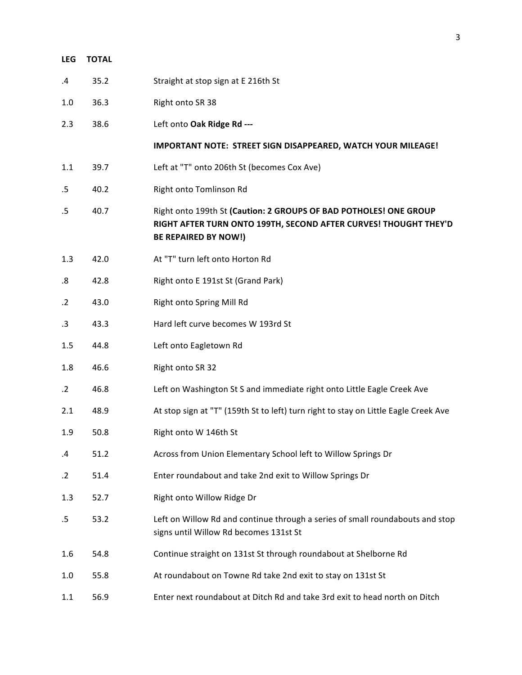| <b>LEG</b> | <b>TOTAL</b> |                                                                                                                                                                      |
|------------|--------------|----------------------------------------------------------------------------------------------------------------------------------------------------------------------|
| $\cdot$    | 35.2         | Straight at stop sign at E 216th St                                                                                                                                  |
| 1.0        | 36.3         | Right onto SR 38                                                                                                                                                     |
| 2.3        | 38.6         | Left onto Oak Ridge Rd ---                                                                                                                                           |
|            |              | IMPORTANT NOTE: STREET SIGN DISAPPEARED, WATCH YOUR MILEAGE!                                                                                                         |
| 1.1        | 39.7         | Left at "T" onto 206th St (becomes Cox Ave)                                                                                                                          |
| $.5\,$     | 40.2         | Right onto Tomlinson Rd                                                                                                                                              |
| .5         | 40.7         | Right onto 199th St (Caution: 2 GROUPS OF BAD POTHOLES! ONE GROUP<br>RIGHT AFTER TURN ONTO 199TH, SECOND AFTER CURVES! THOUGHT THEY'D<br><b>BE REPAIRED BY NOW!)</b> |
| 1.3        | 42.0         | At "T" turn left onto Horton Rd                                                                                                                                      |
| .8         | 42.8         | Right onto E 191st St (Grand Park)                                                                                                                                   |
| $\cdot$ .2 | 43.0         | Right onto Spring Mill Rd                                                                                                                                            |
| .3         | 43.3         | Hard left curve becomes W 193rd St                                                                                                                                   |
| 1.5        | 44.8         | Left onto Eagletown Rd                                                                                                                                               |
| 1.8        | 46.6         | Right onto SR 32                                                                                                                                                     |
| $\cdot$ .2 | 46.8         | Left on Washington St S and immediate right onto Little Eagle Creek Ave                                                                                              |
| 2.1        | 48.9         | At stop sign at "T" (159th St to left) turn right to stay on Little Eagle Creek Ave                                                                                  |
| 1.9        | 50.8         | Right onto W 146th St                                                                                                                                                |
| .4         | 51.2         | Across from Union Elementary School left to Willow Springs Dr                                                                                                        |
| .2         | 51.4         | Enter roundabout and take 2nd exit to Willow Springs Dr                                                                                                              |
| 1.3        | 52.7         | Right onto Willow Ridge Dr                                                                                                                                           |
| .5         | 53.2         | Left on Willow Rd and continue through a series of small roundabouts and stop<br>signs until Willow Rd becomes 131st St                                              |
| 1.6        | 54.8         | Continue straight on 131st St through roundabout at Shelborne Rd                                                                                                     |
| 1.0        | 55.8         | At roundabout on Towne Rd take 2nd exit to stay on 131st St                                                                                                          |
| 1.1        | 56.9         | Enter next roundabout at Ditch Rd and take 3rd exit to head north on Ditch                                                                                           |